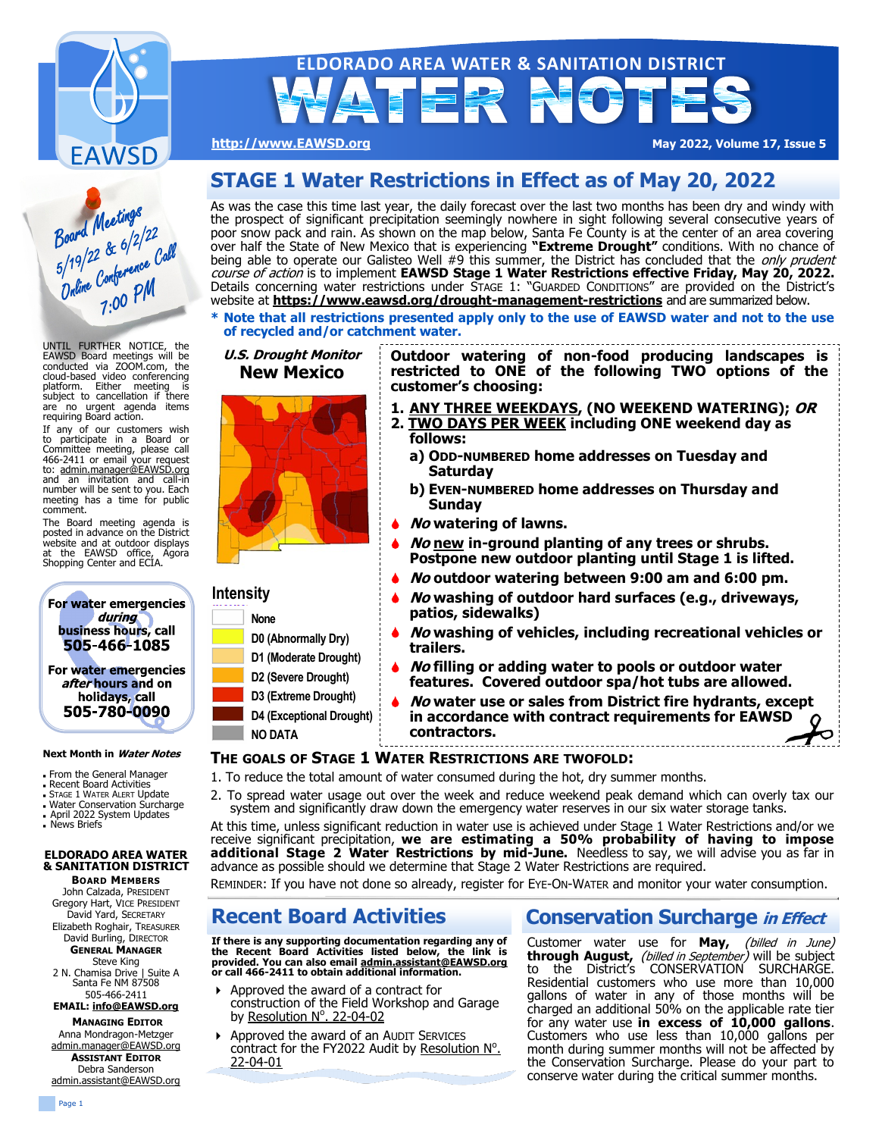

# **ELDORADO AREA WATER & SANITATION DISTRICT** 要 計合

**[http://www.EAWSD.org](https://www.eawsd.org) May 2022, Volume 17, Issue 5**

# Board Meetings<br>Board Meetings<br>5/19/22 & 6/2/22<br>Duline Conference Call

UNTIL FURTHER NOTICE, the EAWSD Board meetings will be conducted via ZOOM.com, the cloud-based video conferencing platform. Either meeting is subject to cancellation if there are no urgent agenda items requiring Board action.

If any of our customers wish to participate in a Board or Committee meeting, please call 466-2411 or email your request to: [admin.manager@EAWSD.org](mailto:admin.manager@EAWSD.org?subject=Request%20for%20EAWSD%20Board%20Meeting%20Conference%20Call-in%20number) and an invitation and call-in number will be sent to you. Each meeting has a time for public comment.

The Board meeting agenda is posted in advance on the District website and at outdoor displays at the EAWSD office, Agora Shopping Center and ECIA.



### **Next Month in Water Notes**

- From the General Manager
- <sup>◼</sup> Recent Board Activities
- **STAGE 1 WATER ALERT Update**
- <sup>◼</sup> Water Conservation Surcharge <sup>◼</sup>April 2022 System Updates
- <sup>◼</sup>News Briefs

### **ELDORADO AREA WATER & SANITATION DISTRICT BOARD MEMBERS**

John Calzada, PRESIDENT Gregory Hart, VICE PRESIDENT David Yard, SECRETARY Elizabeth Roghair, TREASURER David Burling, DIRECTOR **GENERAL MANAGER**

Steve King

2 N. Chamisa Drive | Suite A Santa Fe NM 87508 505-466-2411

**EMAIL: [info@](mailto:admin.manager@EAWSD.org)[EAWSD.org](mailto:info@eldoradowaterdistrict.com) MANAGING E[DITOR](mailto:info@eldoradowaterdistrict.com)**

Anna Mondragon-Metzger [admin.manager@EAWSD.org](mailto:admin.manager@EAWSD.org?subject=Water%20Notes%20Inquiry) **ASSISTANT EDITOR** Debra Sanderson [admin.assistant@EAWSD.org](mailto:admin.manager@EAWSD.org)

# **STAGE 1 Water Restrictions in Effect as of May 20, 2022**

As was the case this time last year, the daily forecast over the last two months has been dry and windy with the prospect of significant precipitation seemingly nowhere in sight following several consecutive years of poor snow pack and rain. As shown on the map below, Santa Fe County is at the center of an area covering over half the State of New Mexico that is experiencing **"Extreme Drought"** conditions. With no chance of being able to operate our Galisteo Well #9 this summer, the District has concluded that the only prudent course of action is to implement **EAWSD Stage 1 Water Restrictions effective Friday, May 20, 2022.**  Details concerning water restrictions under STAGE 1: "GUARDED CONDITIONS" are provided on the District's website at **[https://www.eawsd.org/drought](https://www.eawsd.org/drought-management-restrictions)-management-restrictions** and are summarized below.

**\* Note that all restrictions presented apply only to the use of EAWSD water and not to the use of recycled and/or catchment water.**

### **U.S. Drought Monitor Outdoor watering of non-food producing landscapes is New Mexico restricted to ONE of the following TWO options of the customer's choosing: 1. ANY THREE WEEKDAYS, (NO WEEKEND WATERING); OR 2. TWO DAYS PER WEEK including ONE weekend day as follows: a) ODD-NUMBERED home addresses on Tuesday and Saturday b) EVEN-NUMBERED home addresses on Thursday and Sunday No watering of lawns. No new in-ground planting of any trees or shrubs. Postpone new outdoor planting until Stage 1 is lifted. No outdoor watering between 9:00 am and 6:00 pm. Intensity No washing of outdoor hard surfaces (e.g., driveways, patios, sidewalks) None No washing of vehicles, including recreational vehicles or D0 (Abnormally Dry) trailers. D1 (Moderate Drought) No filling or adding water to pools or outdoor water D2 (Severe Drought) features. Covered outdoor spa/hot tubs are allowed. D3 (Extreme Drought) No water use or sales from District fire hydrants, except D4 (Exceptional Drought) in accordance with contract requirements for EAWSD contractors. NO DATA THE GOALS OF STAGE 1 WATER RESTRICTIONS ARE TWOFOLD:**

- 1. To reduce the total amount of water consumed during the hot, dry summer months.
- 2. To spread water usage out over the week and reduce weekend peak demand which can overly tax our system and significantly draw down the emergency water reserves in our six water storage tanks.

At this time, unless significant reduction in water use is achieved under Stage 1 Water Restrictions and/or we receive significant precipitation, **we are estimating a 50% probability of having to impose additional Stage 2 Water Restrictions by mid-June.** Needless to say, we will advise you as far in advance as possible should we determine that Stage 2 Water Restrictions are required.

REMINDER: If you have not done so already, register for EYE-ON-WATER and monitor your water consumption.

## **Recent Board Activities**

**If there is any supporting documentation regarding any of the Recent Board Activities listed below, the link is provided. You can also email [admin.assistant@EAWSD.org](mailto:admin.assistant@EAWSD.org) or call 466-2411 to obtain additional information.**

- Approved the award of a contract for
- construction of the Field Workshop and Garage by [Resolution N](https://drive.google.com/file/d/1av2dfnbN9h_6WeVIXBHpevK0G34G3E6t/view?usp=sharing)°. 22-04-02
- **Approved the award of an AUDIT SERVICES** contract for the FY2022 Audit by [Resolution N](https://drive.google.com/file/d/1OXVJoDa4ZPB5LUsFjUAT5UntYVcW4ETI/view?usp=sharing)°. 22-[04](https://drive.google.com/file/d/1OXVJoDa4ZPB5LUsFjUAT5UntYVcW4ETI/view?usp=sharing)-01

### **Conservation Surcharge in Effect**

Customer water use for May, (billed in June) **through August,** (billed in September) will be subject to the District's CONSERVATION SURCHARGE. Residential customers who use more than 10,000 gallons of water in any of those months will be charged an additional 50% on the applicable rate tier for any water use **in excess of 10,000 gallons**. Customers who use less than 10,000 gallons per month during summer months will not be affected by the Conservation Surcharge. Please do your part to conserve water during the critical summer months.